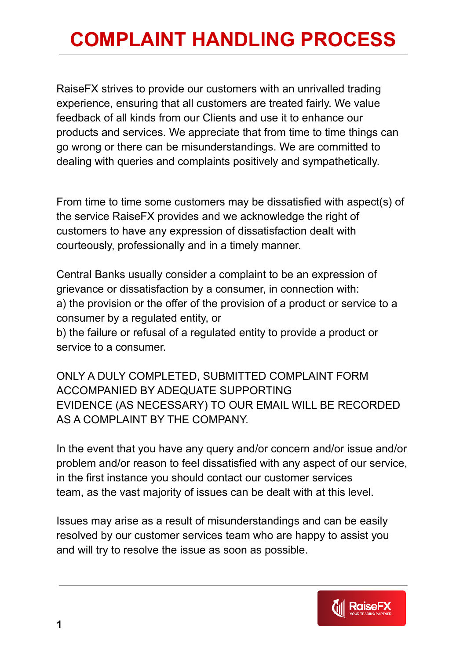## **COMPLAINT HANDLING PROCESS**

RaiseFX strives to provide our customers with an unrivalled trading experience, ensuring that all customers are treated fairly. We value feedback of all kinds from our Clients and use it to enhance our products and services. We appreciate that from time to time things can go wrong or there can be misunderstandings. We are committed to dealing with queries and complaints positively and sympathetically.

From time to time some customers may be dissatisfied with aspect(s) of the service RaiseFX provides and we acknowledge the right of customers to have any expression of dissatisfaction dealt with courteously, professionally and in a timely manner.

Central Banks usually consider a complaint to be an expression of grievance or dissatisfaction by a consumer, in connection with: a) the provision or the offer of the provision of a product or service to a consumer by a regulated entity, or b) the failure or refusal of a regulated entity to provide a product or

service to a consumer.

ONLY A DULY COMPLETED, SUBMITTED COMPLAINT FORM ACCOMPANIED BY ADEQUATE SUPPORTING EVIDENCE (AS NECESSARY) TO OUR EMAIL WILL BE RECORDED AS A COMPLAINT BY THE COMPANY.

In the event that you have any query and/or concern and/or issue and/or problem and/or reason to feel dissatisfied with any aspect of our service, in the first instance you should contact our customer services team, as the vast majority of issues can be dealt with at this level.

Issues may arise as a result of misunderstandings and can be easily resolved by our customer services team who are happy to assist you and will try to resolve the issue as soon as possible.

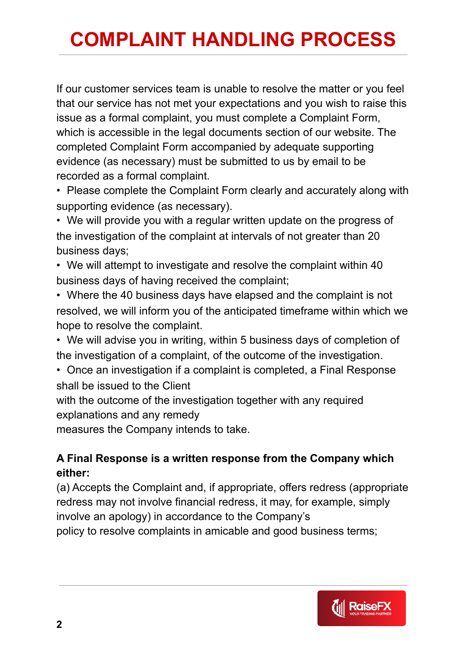## **COMPLAINT HANDLING PROCESS**

If our customer services team is unable to resolve the matter or you feel that our service has not met your expectations and you wish to raise this issue as a formal complaint, you must complete a Complaint Form, which is accessible in the legal documents section of our website. The completed Complaint Form accompanied by adequate supporting evidence (as necessary) must be submitted to us by email to be recorded as a formal complaint.

• Please complete the Complaint Form clearly and accurately along with supporting evidence (as necessary).

• We will provide you with a regular written update on the progress of the investigation of the complaint at intervals of not greater than 20 business days;

• We will attempt to investigate and resolve the complaint within 40 business days of having received the complaint;

• Where the 40 business days have elapsed and the complaint is not resolved, we will inform you of the anticipated timeframe within which we hope to resolve the complaint.

• We will advise you in writing, within 5 business days of completion of the investigation of a complaint, of the outcome of the investigation.

• Once an investigation if a complaint is completed, a Final Response shall be issued to the Client

with the outcome of the investigation together with any required explanations and any remedy

measures the Company intends to take.

## **A Final Response is a written response from the Company which either:**

(a) Accepts the Complaint and, if appropriate, offers redress (appropriate redress may not involve financial redress, it may, for example, simply involve an apology) in accordance to the Company's policy to resolve complaints in amicable and good business terms;